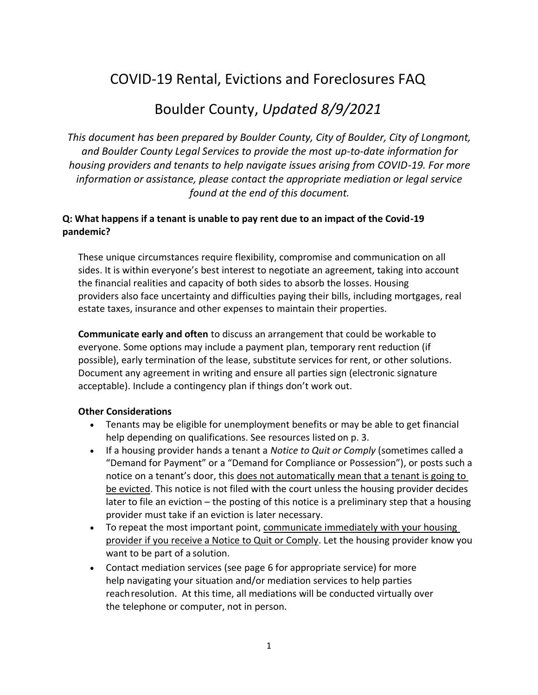# COVID-19 Rental, Evictions and Foreclosures FAQ

# Boulder County, *Updated 8/9/2021*

*This document has been prepared by Boulder County, City of Boulder, City of Longmont, and Boulder County Legal Services to provide the most up-to-date information for housing providers and tenants to help navigate issues arising from COVID-19. For more information or assistance, please contact the appropriate mediation or legal service found at the end of this document.*

#### **Q: What happens if a tenant is unable to pay rent due to an impact of the Covid-19 pandemic?**

These unique circumstances require flexibility, compromise and communication on all sides. It is within everyone's best interest to negotiate an agreement, taking into account the financial realities and capacity of both sides to absorb the losses. Housing providers also face uncertainty and difficulties paying their bills, including mortgages, real estate taxes, insurance and other expenses to maintain their properties.

**Communicate early and often** to discuss an arrangement that could be workable to everyone. Some options may include a payment plan, temporary rent reduction (if possible), early termination of the lease, substitute services for rent, or other solutions. Document any agreement in writing and ensure all parties sign (electronic signature acceptable). Include a contingency plan if things don't work out.

#### **Other Considerations**

- Tenants may be eligible for unemployment benefits or may be able to get financial help depending on qualifications. See resources listed on p. 3.
- If a housing provider hands a tenant a *Notice to Quit or Comply* (sometimes called a "Demand for Payment" or a "Demand for Compliance or Possession"), or posts such a notice on a tenant's door, this does not automatically mean that a tenant is going to be evicted. This notice is not filed with the court unless the housing provider decides later to file an eviction – the posting of this notice is a preliminary step that a housing provider must take if an eviction is later necessary.
- To repeat the most important point, communicate immediately with your housing provider if you receive a Notice to Quit or Comply. Let the housing provider know you want to be part of a solution.
- Contact mediation services (see page 6 for appropriate service) for more help navigating your situation and/or mediation services to help parties reachresolution. At this time, all mediations will be conducted virtually over the telephone or computer, not in person.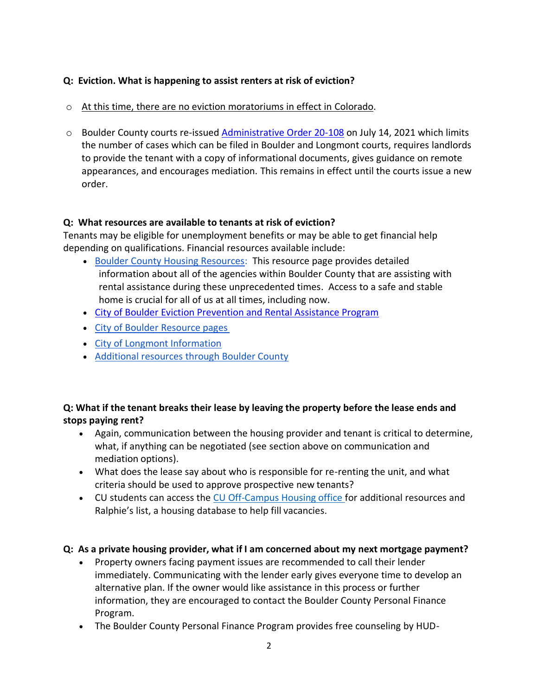### **Q: Eviction. What is happening to assist renters at risk of eviction?**

- o At this time, there are no eviction moratoriums in effect in Colorado.
- o Boulder County courts re-issued [Administrative Order 20-108](https://www.courts.state.co.us/userfiles/file/Court_Probation/20th_Judicial_District/AdminOrders/7-14-21%2020-108%20Admin%20Order%20w%20attachments(1).pdf) on July 14, 2021 which limits the number of cases which can be filed in Boulder and Longmont courts, requires landlords to provide the tenant with a copy of informational documents, gives guidance on remote appearances, and encourages mediation. This remains in effect until the courts issue a new order.

### **Q: What resources are available to tenants at risk of eviction?**

Tenants may be eligible for unemployment benefits or may be able to get financial help depending on qualifications. Financial resources available include:

- [Boulder County Housing Resources:](http://www.boco.org/COVID-19Housing) This resource page provides detailed information about all of the agencies within Boulder County that are assisting with rental assistance during these unprecedented times. Access to a safe and stable home is crucial for all of us at all times, including now.
- [City of Boulder Eviction Prevention and Rental Assistance Program](https://bouldercolorado.gov/community-relations/eviction-prevention-services)
- [City of Boulder Resource](https://bouldercolorado.gov/links/fetch/48239) pages
- [City of Longmont](https://www.longmontcolorado.gov/departments/departments-n-z/public-information/coronavirus-disease-2019-information) Information
- [Additional resources through Boulder](http://www.boco.org/COVID-19Resources) County

## **Q: What if the tenant breaks their lease by leaving the property before the lease ends and stops paying rent?**

- Again, communication between the housing provider and tenant is critical to determine, what, if anything can be negotiated (see section above on communication and mediation options).
- What does the lease say about who is responsible for re-renting the unit, and what criteria should be used to approve prospective new tenants?
- CU students can access the [CU Off-Campus Housing office f](https://www.colorado.edu/offcampus/)or additional resources and Ralphie's list, a housing database to help fill vacancies.

#### **Q: As a private housing provider, what if I am concerned about my next mortgage payment?**

- Property owners facing payment issues are recommended to call their lender immediately. Communicating with the lender early gives everyone time to develop an alternative plan. If the owner would like assistance in this process or further information, they are encouraged to contact the Boulder County Personal Finance Program.
- The Boulder County Personal Finance Program provides free counseling by HUD-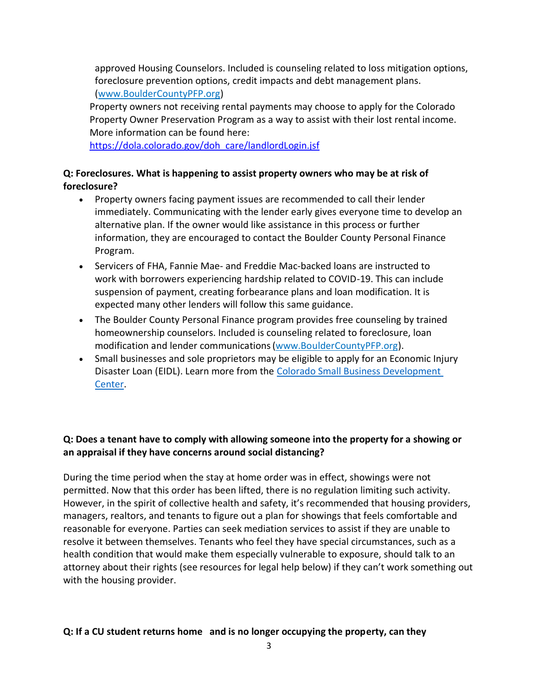approved Housing Counselors. Included is counseling related to loss mitigation options, foreclosure prevention options, credit impacts and debt management plans.

[\(www.BoulderCountyPFP.org\)](http://www.bouldercountypfp.org/)

Property owners not receiving rental payments may choose to apply for the Colorado Property Owner Preservation Program as a way to assist with their lost rental income. More information can be found here:

[https://dola.colorado.gov/doh\\_care/landlordLogin.jsf](https://dola.colorado.gov/doh_care/landlordLogin.jsf)

### **Q: Foreclosures. What is happening to assist property owners who may be at risk of foreclosure?**

- Property owners facing payment issues are recommended to call their lender immediately. Communicating with the lender early gives everyone time to develop an alternative plan. If the owner would like assistance in this process or further information, they are encouraged to contact the Boulder County Personal Finance Program.
- Servicers of FHA, Fannie Mae- and Freddie Mac-backed loans are instructed to work with borrowers experiencing hardship related to COVID-19. This can include suspension of payment, creating forbearance plans and loan modification. It is expected many other lenders will follow this same guidance.
- The Boulder County Personal Finance program provides free counseling by trained homeownership counselors. Included is counseling related to foreclosure, loan modification and lender communications[\(www.BoulderCountyPFP.org\)](http://www.bouldercountypfp.org/).
- Small businesses and sole proprietors may be eligible to apply for an Economic Injury Disaster Loan (EIDL). Learn more from the [Colorado Small Business Development](https://www.coloradosbdc.org/covid/)  [Center.](https://www.coloradosbdc.org/covid/)

## **Q: Does a tenant have to comply with allowing someone into the property for a showing or an appraisal if they have concerns around social distancing?**

During the time period when the stay at home order was in effect, showings were not permitted. Now that this order has been lifted, there is no regulation limiting such activity. However, in the spirit of collective health and safety, it's recommended that housing providers, managers, realtors, and tenants to figure out a plan for showings that feels comfortable and reasonable for everyone. Parties can seek mediation services to assist if they are unable to resolve it between themselves. Tenants who feel they have special circumstances, such as a health condition that would make them especially vulnerable to exposure, should talk to an attorney about their rights (see resources for legal help below) if they can't work something out with the housing provider.

## **Q: If a CU student returns home and is no longer occupying the property, can they**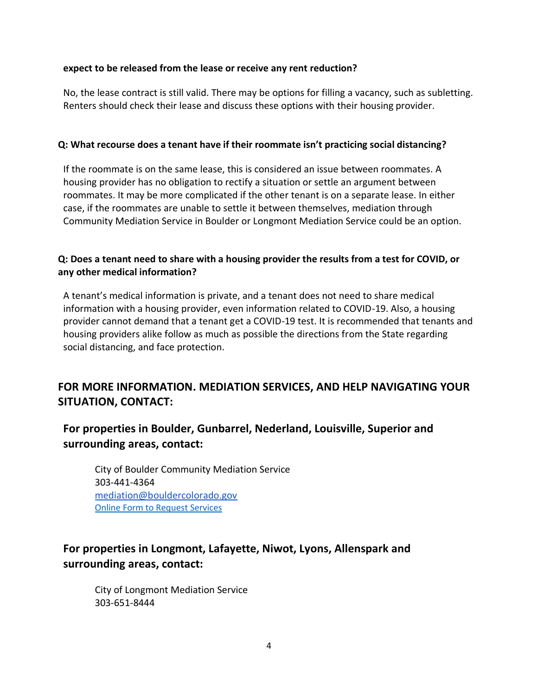#### **expect to be released from the lease or receive any rent reduction?**

No, the lease contract is still valid. There may be options for filling a vacancy, such as subletting. Renters should check their lease and discuss these options with their housing provider.

#### **Q: What recourse does a tenant have if their roommate isn't practicing social distancing?**

If the roommate is on the same lease, this is considered an issue between roommates. A housing provider has no obligation to rectify a situation or settle an argument between roommates. It may be more complicated if the other tenant is on a separate lease. In either case, if the roommates are unable to settle it between themselves, mediation through Community Mediation Service in Boulder or Longmont Mediation Service could be an option.

#### **Q: Does a tenant need to share with a housing provider the results from a test for COVID, or any other medical information?**

A tenant's medical information is private, and a tenant does not need to share medical information with a housing provider, even information related to COVID-19. Also, a housing provider cannot demand that a tenant get a COVID-19 test. It is recommended that tenants and housing providers alike follow as much as possible the directions from the State regarding social distancing, and face protection.

# **FOR MORE INFORMATION. MEDIATION SERVICES, AND HELP NAVIGATING YOUR SITUATION, CONTACT:**

# **For properties in Boulder, Gunbarrel, Nederland, Louisville, Superior and surrounding areas, contact:**

City of Boulder Community Mediation Service 303-441-4364 [mediation@bouldercolorado.gov](mailto:mediation@bouldercolorado.gov) [Online Form to Request Services](https://bouldercolorado.formstack.com/forms/request_for_community_mediation_services_form)

# **For properties in Longmont, Lafayette, Niwot, Lyons, Allenspark and surrounding areas, contact:**

City of Longmont Mediation Service 303-651-8444